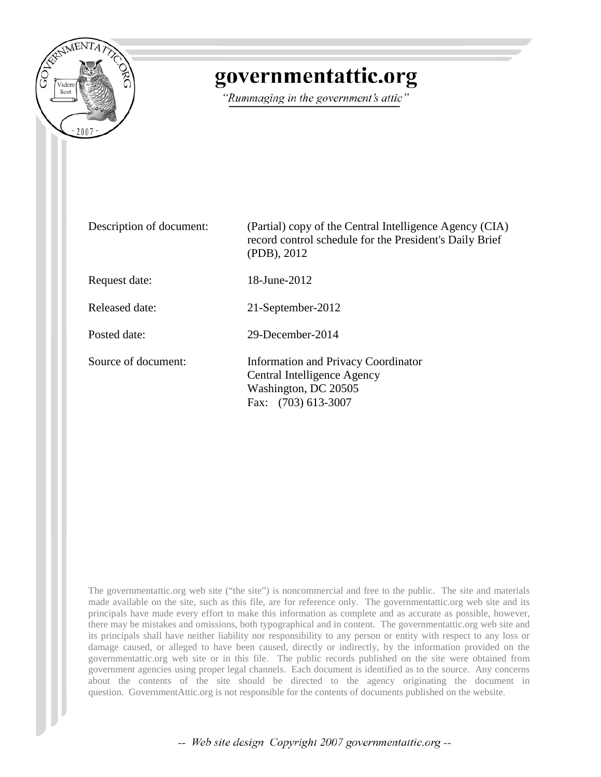

## governmentattic.org

"Rummaging in the government's attic"

| Description of document: | (Partial) copy of the Central Intelligence Agency (CIA)<br>record control schedule for the President's Daily Brief<br>(PDB), 2012 |
|--------------------------|-----------------------------------------------------------------------------------------------------------------------------------|
| Request date:            | $18$ -June-2012                                                                                                                   |
| Released date:           | 21-September-2012                                                                                                                 |
| Posted date:             | 29-December-2014                                                                                                                  |
| Source of document:      | <b>Information and Privacy Coordinator</b><br>Central Intelligence Agency<br>Washington, DC 20505<br>Fax: (703) 613-3007          |

The governmentattic.org web site ("the site") is noncommercial and free to the public. The site and materials made available on the site, such as this file, are for reference only. The governmentattic.org web site and its principals have made every effort to make this information as complete and as accurate as possible, however, there may be mistakes and omissions, both typographical and in content. The governmentattic.org web site and its principals shall have neither liability nor responsibility to any person or entity with respect to any loss or damage caused, or alleged to have been caused, directly or indirectly, by the information provided on the governmentattic.org web site or in this file. The public records published on the site were obtained from government agencies using proper legal channels. Each document is identified as to the source. Any concerns about the contents of the site should be directed to the agency originating the document in question. GovernmentAttic.org is not responsible for the contents of documents published on the website.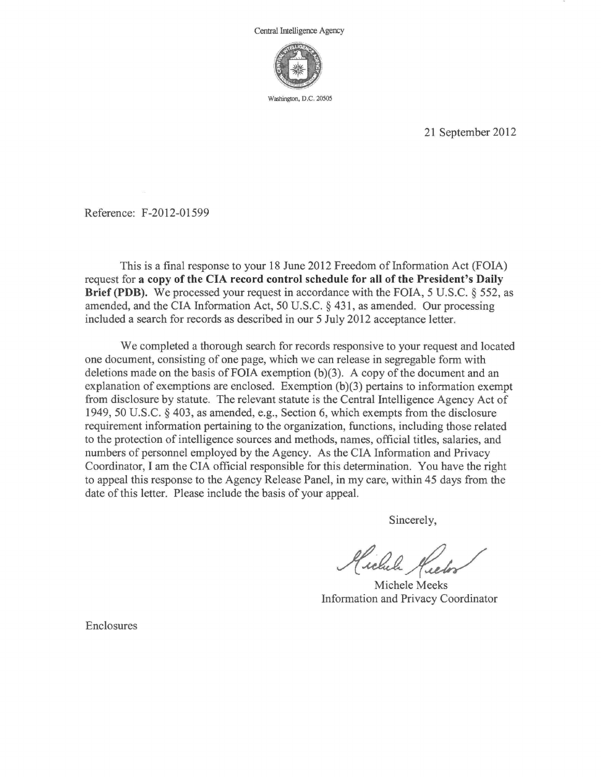

Washington, D.C. 20505

21 September 2012

Reference: F-2012-01599

This is a final response to your 18 June 2012 Freedom of Information Act (FOIA) request for a copy of the CIA record control schedule for all of the President's Daily Brief **(PDB).** We processed your request in accordance with the FOIA, 5 U.S.C. § 552, as amended, and the CIA Information Act, 50 U.S.C. § 431, as amended. Our processing included a search for records as described in our 5 July 2012 acceptance letter.

We completed a thorough search for records responsive to your request and located one document, consisting of one page, which we can release in segregable form with deletions made on the basis of FOIA exemption  $(b)(3)$ . A copy of the document and an explanation of exemptions are enclosed. Exemption (b)(3) pertains to information exempt from disclosure by statute. The relevant statute is the Central Intelligence Agency Act of 1949, 50 U.S.C. § 403, as amended, e.g., Section 6, which exempts from the disclosure requirement information pertaining to the organization, functions, including those related to the protection of intelligence sources and methods, names, official titles, salaries, and numbers of personnel employed by the Agency. As the CIA Information and Privacy Coordinator, I am the CIA official responsible for this determination. You have the right to appeal this response to the Agency Release Panel, in my care, within 45 days from the date of this letter. Please include the basis of your appeal.

Sincerely,

Hichel Keelor

Michele Meeks Information and Privacy Coordinator

Enclosures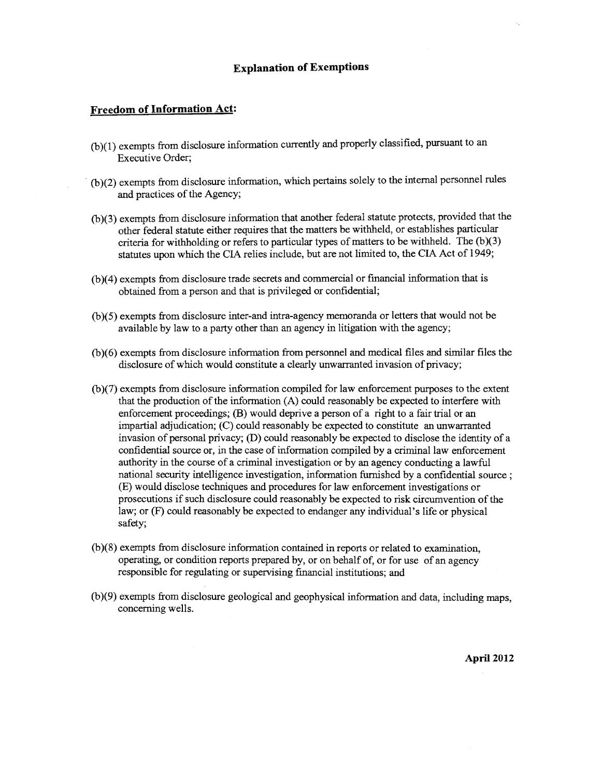## **Explanation of Exemptions**

## **Freedom of Information Act:**

- (b )(1) exempts from disclosure information currently and properly classified, pursuant to an Executive Order;
- · (b )(2) exempts from disclosure information, which pertains solely to the internal personnel rules and practices of the Agency;
- (b )(3) exempts from disclosure information that another federal statute protects, provided that the other federal statute either requires that the matters be withheld, or establishes particular criteria for withholding or refers to particular types of matters to be withheld. The  $(b)(3)$ statutes upon which the CIA relies include, but are not limited to, the CIA Act of 1949;
- (b)(4) exempts from disclosure trade secrets and commercial or financial information that is obtained from a person and that is privileged or confidential;
- (b )( 5) exempts from disclosure inter-and intra-agency memoranda or letters that would not be available by law to a party other than an agency in litigation with the agency;
- (b )( 6) exempts from disclosure information from personnel and medical files and similar files the disclosure of which would constitute a clearly unwarranted invasion of privacy;
- (b )(7) exempts from disclosure information compiled for law enforcement purposes to the extent that the production of the information (A) could reasonably be expected to interfere with enforcement proceedings; (B) would deprive a person of a right to a fair trial or an impartial adjudication; (C) could reasonably be expected to constitute an unwarranted invasion of personal privacy; (D) could reasonably be expected to disclose the identity of a confidential source or, in the case of information compiled by a criminal law enforcement authority in the course of a criminal investigation or by an agency conducting a lawful national security intelligence investigation, information furnished by a confidential source ; (E) would disclose techniques and procedures for law enforcement investigations or prosecutions if such disclosure could reasonably be expected to risk circumvention of the law; or (F) could reasonably be expected to endanger any individual's life or physical safety;
- (b )(8) exempts from disclosure information contained in reports or related to examination, operating, or condition reports prepared by, or on behalf of, or for use of an agency responsible for regulating or supervising financial institutions; and
- (b )(9) exempts from disclosure geological and geophysical information and data, including maps, concerning wells.

**April 2012**